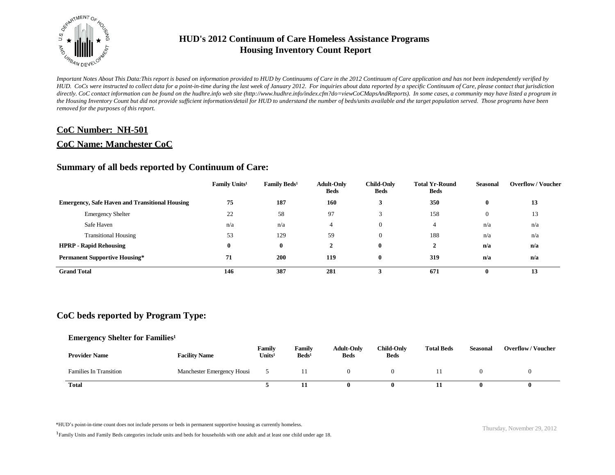

*Important Notes About This Data:This report is based on information provided to HUD by Continuums of Care in the 2012 Continuum of Care application and has not been independently verified by HUD. CoCs were instructed to collect data for a point-in-time during the last week of January 2012. For inquiries about data reported by a specific Continuum of Care, please contact that jurisdiction*  directly. CoC contact information can be found on the hudhre.info web site (http://www.hudhre.info/index.cfm?do=viewCoCMapsAndReports). In some cases, a community may have listed a program in *the Housing Inventory Count but did not provide sufficient information/detail for HUD to understand the number of beds/units available and the target population served. Those programs have been removed for the purposes of this report.*

### **CoC Number: NH-501**

### **CoC Name: Manchester CoC**

### **Summary of all beds reported by Continuum of Care:**

|                                                       | Family Units <sup>1</sup> | Family Beds <sup>1</sup> | <b>Adult-Only</b><br><b>Beds</b> | <b>Child-Only</b><br><b>Beds</b> | <b>Total Yr-Round</b><br><b>Beds</b> | <b>Seasonal</b> | <b>Overflow/Voucher</b> |
|-------------------------------------------------------|---------------------------|--------------------------|----------------------------------|----------------------------------|--------------------------------------|-----------------|-------------------------|
| <b>Emergency, Safe Haven and Transitional Housing</b> | 75                        | 187                      | 160                              |                                  | 350                                  | $\bf{0}$        | 13                      |
| <b>Emergency Shelter</b>                              | 22                        | 58                       | 97                               |                                  | 158                                  | $\overline{0}$  | 13                      |
| Safe Haven                                            | n/a                       | n/a                      | 4                                | $\overline{0}$                   | 4                                    | n/a             | n/a                     |
| <b>Transitional Housing</b>                           | 53                        | 129                      | 59                               | $\overline{0}$                   | 188                                  | n/a             | n/a                     |
| <b>HPRP - Rapid Rehousing</b>                         | 0                         | $\mathbf{0}$             | $\mathbf{2}$                     | $\mathbf{0}$                     | $\mathbf{2}$                         | n/a             | n/a                     |
| <b>Permanent Supportive Housing*</b>                  | 71                        | 200                      | 119                              | $\mathbf{0}$                     | 319                                  | n/a             | n/a                     |
| <b>Grand Total</b>                                    | 146                       | 387                      | 281                              |                                  | 671                                  | v               | 13                      |

# **CoC beds reported by Program Type:**

#### **Emergency Shelter for Families<sup>1</sup>**

| <b>Provider Name</b>          | <b>Facility Name</b>       | Family<br>Units <sup>1</sup> | Family<br>$\text{Beds}^1$ | <b>Adult-Only</b><br><b>Beds</b> | <b>Child-Only</b><br><b>Beds</b> | <b>Total Beds</b> | <b>Seasonal</b> | <b>Overflow/Voucher</b> |
|-------------------------------|----------------------------|------------------------------|---------------------------|----------------------------------|----------------------------------|-------------------|-----------------|-------------------------|
| <b>Families In Transition</b> | Manchester Emergency Housi |                              |                           |                                  |                                  |                   |                 |                         |
| Total                         |                            |                              |                           | o                                |                                  |                   |                 |                         |

\*HUD's point-in-time count does not include persons or beds in permanent supportive housing as currently homeless.<br>
Thursday, November 29, 2012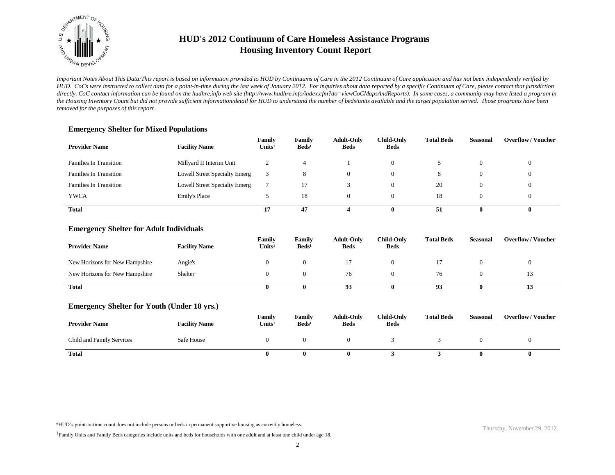

*Important Notes About This Data:This report is based on information provided to HUD by Continuums of Care in the 2012 Continuum of Care application and has not been independently verified by HUD. CoCs were instructed to collect data for a point-in-time during the last week of January 2012. For inquiries about data reported by a specific Continuum of Care, please contact that jurisdiction*  directly. CoC contact information can be found on the hudhre.info web site (http://www.hudhre.info/index.cfm?do=viewCoCMapsAndReports). In some cases, a community may have listed a program in *the Housing Inventory Count but did not provide sufficient information/detail for HUD to understand the number of beds/units available and the target population served. Those programs have been removed for the purposes of this report.*

| <b>Provider Name</b>          | <b>Facility Name</b>                 | Family<br>Units <sup>1</sup> | Family<br>$\text{Beds}^1$ | <b>Adult-Only</b><br><b>Beds</b> | <b>Child-Only</b><br><b>Beds</b> | <b>Total Beds</b> | <b>Seasonal</b> | <b>Overflow/Voucher</b> |
|-------------------------------|--------------------------------------|------------------------------|---------------------------|----------------------------------|----------------------------------|-------------------|-----------------|-------------------------|
| <b>Families In Transition</b> | Millyard II Interim Unit             |                              | 4                         |                                  | $\Omega$                         |                   |                 | $\theta$                |
| <b>Families In Transition</b> | Lowell Street Specialty Emerg        |                              | 8                         | 0                                | $\mathbf{0}$                     | 8                 |                 | $\theta$                |
| <b>Families In Transition</b> | <b>Lowell Street Specialty Emerg</b> |                              | 17                        |                                  | $\Omega$                         | 20                |                 | $\theta$                |
| <b>YWCA</b>                   | <b>Emily's Place</b>                 |                              | 18                        | 0                                | $\Omega$                         | 18                |                 | $\theta$                |
| <b>Total</b>                  |                                      | 17                           | 47                        |                                  | 0                                | 51                |                 |                         |

### **Emergency Shelter for Mixed Populations**

#### **Emergency Shelter for Adult Individuals**

| <b>Provider Name</b>           | <b>Facility Name</b> | Family<br>Units <sup>1</sup> | Family<br>$\text{Beds}^1$ | <b>Adult-Only</b><br><b>Beds</b> | <b>Child-Only</b><br><b>Beds</b> | <b>Total Beds</b> | Seasonal | <b>Overflow/Voucher</b> |
|--------------------------------|----------------------|------------------------------|---------------------------|----------------------------------|----------------------------------|-------------------|----------|-------------------------|
| New Horizons for New Hampshire | Angie's              |                              |                           |                                  |                                  |                   |          |                         |
| New Horizons for New Hampshire | Shelter              |                              |                           | 76                               |                                  | 76                |          | 13                      |
| <b>Total</b>                   |                      |                              |                           | 93                               | 0                                | 93                | 0        | 13                      |

#### **Emergency Shelter for Youth (Under 18 yrs.)**

| <b>Provider Name</b>      | <b>Facility Name</b> | Family<br>Units <sup>1</sup> | Familv<br>$\text{Beds}^1$ | <b>Adult-Only</b><br><b>Beds</b> | <b>Child-Only</b><br><b>Beds</b> | <b>Total Beds</b> | Seasonal | <b>Overflow/Voucher</b> |
|---------------------------|----------------------|------------------------------|---------------------------|----------------------------------|----------------------------------|-------------------|----------|-------------------------|
| Child and Family Services | Safe House           |                              |                           |                                  |                                  |                   |          |                         |
| <b>Total</b>              |                      |                              |                           |                                  |                                  |                   |          |                         |

\*HUD's point-in-time count does not include persons or beds in permanent supportive housing as currently homeless.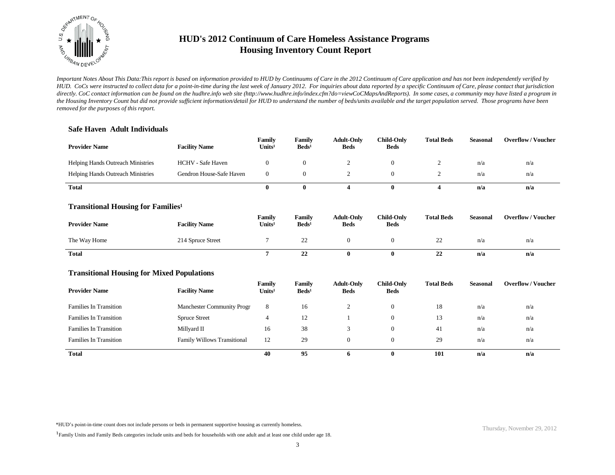

*Important Notes About This Data:This report is based on information provided to HUD by Continuums of Care in the 2012 Continuum of Care application and has not been independently verified by HUD. CoCs were instructed to collect data for a point-in-time during the last week of January 2012. For inquiries about data reported by a specific Continuum of Care, please contact that jurisdiction*  directly. CoC contact information can be found on the hudhre.info web site (http://www.hudhre.info/index.cfm?do=viewCoCMapsAndReports). In some cases, a community may have listed a program in *the Housing Inventory Count but did not provide sufficient information/detail for HUD to understand the number of beds/units available and the target population served. Those programs have been removed for the purposes of this report.*

### **Safe Haven Adult Individuals**

| <b>Provider Name</b>                     | <b>Facility Name</b>     | Family<br>$\bf Units^1$ | Family<br>Beds <sup>1</sup> | <b>Adult-Only</b><br><b>Beds</b> | <b>Child-Only</b><br><b>Beds</b> | <b>Total Beds</b> | <b>Seasonal</b> | <b>Overflow/Voucher</b> |
|------------------------------------------|--------------------------|-------------------------|-----------------------------|----------------------------------|----------------------------------|-------------------|-----------------|-------------------------|
| <b>Helping Hands Outreach Ministries</b> | <b>HCHV</b> - Safe Haven |                         |                             |                                  |                                  |                   | n/a             | n/a                     |
| <b>Helping Hands Outreach Ministries</b> | Gendron House-Safe Haven |                         |                             |                                  |                                  |                   | n/a             | n/a                     |
| <b>Total</b>                             |                          |                         |                             |                                  |                                  |                   | n/a             | n/a                     |

#### **Transitional Housing for Families<sup>1</sup>**

| <b>Provider Name</b> | <b>Facility Name</b> | Family<br>$\mathbf{Units}^1$ | Family<br>Beds <sup>1</sup> | <b>Adult-Only</b><br><b>Beds</b> | <b>Child-Only</b><br><b>Beds</b> | <b>Total Beds</b> | Seasonal | <b>Overflow/Voucher</b> |
|----------------------|----------------------|------------------------------|-----------------------------|----------------------------------|----------------------------------|-------------------|----------|-------------------------|
| The Way Home         | 214 Spruce Street    |                              | つつ<br>∸                     |                                  |                                  | ىمى               | n/a      | n/a                     |
| <b>Total</b>         |                      |                              | 22                          |                                  |                                  | 22                | n/a      | n/a                     |

#### **Transitional Housing for Mixed Populations**

| <b>Provider Name</b>          | <b>Facility Name</b>               | Family<br>Units <sup>1</sup> | Family<br>$\text{Beds}^1$ | <b>Adult-Only</b><br><b>Beds</b> | Child-Only<br><b>Beds</b> | <b>Total Beds</b> | Seasonal | <b>Overflow/Voucher</b> |
|-------------------------------|------------------------------------|------------------------------|---------------------------|----------------------------------|---------------------------|-------------------|----------|-------------------------|
| <b>Families In Transition</b> | <b>Manchester Community Progr</b>  | 8                            | 16                        |                                  | $\theta$                  | 18                | n/a      | n/a                     |
| <b>Families In Transition</b> | <b>Spruce Street</b>               | 4                            | 12                        |                                  | $\mathbf{0}$              | 13                | n/a      | n/a                     |
| <b>Families In Transition</b> | Millyard II                        | 16                           | 38                        |                                  | $\theta$                  | 41                | n/a      | n/a                     |
| <b>Families In Transition</b> | <b>Family Willows Transitional</b> | 12                           | 29                        | $\Omega$                         | $\theta$                  | 29                | n/a      | n/a                     |
| <b>Total</b>                  |                                    | 40                           | 95                        | <sup>0</sup>                     | 0                         | 101               | n/a      | n/a                     |

\*HUD's point-in-time count does not include persons or beds in permanent supportive housing as currently homeless.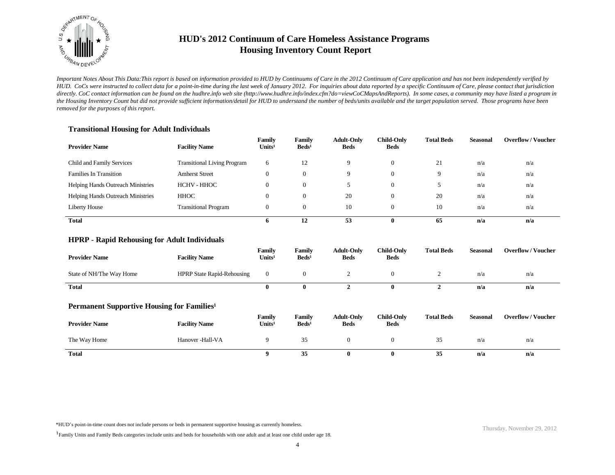

*Important Notes About This Data:This report is based on information provided to HUD by Continuums of Care in the 2012 Continuum of Care application and has not been independently verified by HUD. CoCs were instructed to collect data for a point-in-time during the last week of January 2012. For inquiries about data reported by a specific Continuum of Care, please contact that jurisdiction*  directly. CoC contact information can be found on the hudhre.info web site (http://www.hudhre.info/index.cfm?do=viewCoCMapsAndReports). In some cases, a community may have listed a program in *the Housing Inventory Count but did not provide sufficient information/detail for HUD to understand the number of beds/units available and the target population served. Those programs have been removed for the purposes of this report.*

### **Transitional Housing for Adult Individuals**

| <b>Provider Name</b>                     | <b>Facility Name</b>               | Family<br>Units <sup>1</sup> | Family<br>$\text{Beds}^1$ | <b>Adult-Only</b><br><b>Beds</b> | <b>Child-Only</b><br><b>Beds</b> | <b>Total Beds</b> | <b>Seasonal</b> | <b>Overflow/Voucher</b> |
|------------------------------------------|------------------------------------|------------------------------|---------------------------|----------------------------------|----------------------------------|-------------------|-----------------|-------------------------|
| Child and Family Services                | <b>Transitional Living Program</b> | 6                            | 12                        |                                  | 0                                | 21                | n/a             | n/a                     |
| <b>Families In Transition</b>            | <b>Amherst Street</b>              | 0                            | $\Omega$                  | Q                                | 0                                | 9                 | n/a             | n/a                     |
| <b>Helping Hands Outreach Ministries</b> | HCHV - HHOC                        | O                            | $\Omega$                  |                                  | 0                                | J                 | n/a             | n/a                     |
| <b>Helping Hands Outreach Ministries</b> | HHOC                               | O                            |                           | 20                               | 0                                | 20                | n/a             | n/a                     |
| Liberty House                            | <b>Transitional Program</b>        | U                            | $\overline{0}$            | 10                               | 0                                | 10                | n/a             | n/a                     |
| <b>Total</b>                             |                                    | 0                            | 12                        | 53                               | $\mathbf{0}$                     | 65                | n/a             | n/a                     |

### **HPRP - Rapid Rehousing for Adult Individuals**

| <b>Provider Name</b>     | <b>Facility Name</b>              | Family<br>Units <sup>1</sup> | Family<br>$\text{Beds}^1$ | <b>Adult-Only</b><br><b>Beds</b> | Child-Only<br><b>Beds</b> | <b>Total Beds</b> | <b>Seasonal</b> | <b>Overflow/Voucher</b> |
|--------------------------|-----------------------------------|------------------------------|---------------------------|----------------------------------|---------------------------|-------------------|-----------------|-------------------------|
| State of NH/The Way Home | <b>HPRP State Rapid-Rehousing</b> | 0                            |                           |                                  |                           |                   | n/a             | n/a                     |
| <b>Total</b>             |                                   | 0                            |                           |                                  |                           |                   | n/a             | n/a                     |

#### **Permanent Supportive Housing for Families<sup>1</sup>**

| <b>Provider Name</b> | <b>Facility Name</b> | Family<br>Units <sup>1</sup> | Family<br>Beds <sup>1</sup> | <b>Adult-Only</b><br><b>Beds</b> | <b>Child-Only</b><br><b>Beds</b> | <b>Total Beds</b> | <b>Seasonal</b> | <b>Overflow/Voucher</b> |
|----------------------|----------------------|------------------------------|-----------------------------|----------------------------------|----------------------------------|-------------------|-----------------|-------------------------|
| The Way Home         | Hanover -Hall-VA     |                              | 35                          |                                  |                                  | 35                | n/a             | n/a                     |
| <b>Total</b>         |                      |                              | 35                          |                                  | 0                                | 35                | n/a             | n/a                     |

\*HUD's point-in-time count does not include persons or beds in permanent supportive housing as currently homeless.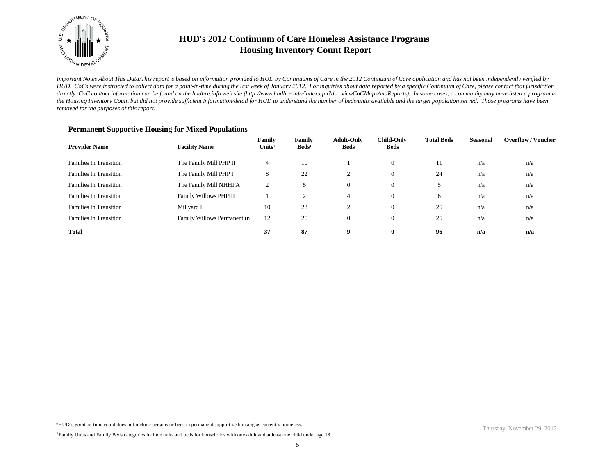

*Important Notes About This Data:This report is based on information provided to HUD by Continuums of Care in the 2012 Continuum of Care application and has not been independently verified by HUD. CoCs were instructed to collect data for a point-in-time during the last week of January 2012. For inquiries about data reported by a specific Continuum of Care, please contact that jurisdiction*  directly. CoC contact information can be found on the hudhre.info web site (http://www.hudhre.info/index.cfm?do=viewCoCMapsAndReports). In some cases, a community may have listed a program in *the Housing Inventory Count but did not provide sufficient information/detail for HUD to understand the number of beds/units available and the target population served. Those programs have been removed for the purposes of this report.*

| <b>Provider Name</b>          | <b>Facility Name</b>         | Family<br>Units <sup>1</sup> | Family<br>$\text{Beds}^1$ | <b>Adult-Only</b><br><b>Beds</b> | <b>Child-Only</b><br><b>Beds</b> | <b>Total Beds</b> | Seasonal | <b>Overflow/Voucher</b> |
|-------------------------------|------------------------------|------------------------------|---------------------------|----------------------------------|----------------------------------|-------------------|----------|-------------------------|
| <b>Families In Transition</b> | The Family Mill PHP II       | 4                            | 10                        |                                  | $\mathbf{0}$                     | 11                | n/a      | n/a                     |
| <b>Families In Transition</b> | The Family Mill PHP I        | 8                            | 22                        |                                  | $\theta$                         | 24                | n/a      | n/a                     |
| <b>Families In Transition</b> | The Family Mill NHHFA        | $\overline{2}$               |                           | $\Omega$                         | $\overline{0}$                   |                   | n/a      | n/a                     |
| <b>Families In Transition</b> | <b>Family Willows PHPIII</b> |                              | 2                         |                                  | $\mathbf{0}$                     | 6                 | n/a      | n/a                     |
| <b>Families In Transition</b> | Millyard I                   | 10                           | 23                        | $\sim$                           | $\mathbf{0}$                     | 25                | n/a      | n/a                     |
| <b>Families In Transition</b> | Family Willows Permanent (n  | 12                           | 25                        | $\Omega$                         | $\overline{0}$                   | 25                | n/a      | n/a                     |
| <b>Total</b>                  |                              | 37                           | 87                        | Q                                | $\mathbf{0}$                     | 96                | n/a      | n/a                     |

#### **Permanent Supportive Housing for Mixed Populations**

\*HUD's point-in-time count does not include persons or beds in permanent supportive housing as currently homeless.

<sup>&</sup>lt;sup>1</sup>Family Units and Family Beds categories include units and beds for households with one adult and at least one child under age 18.